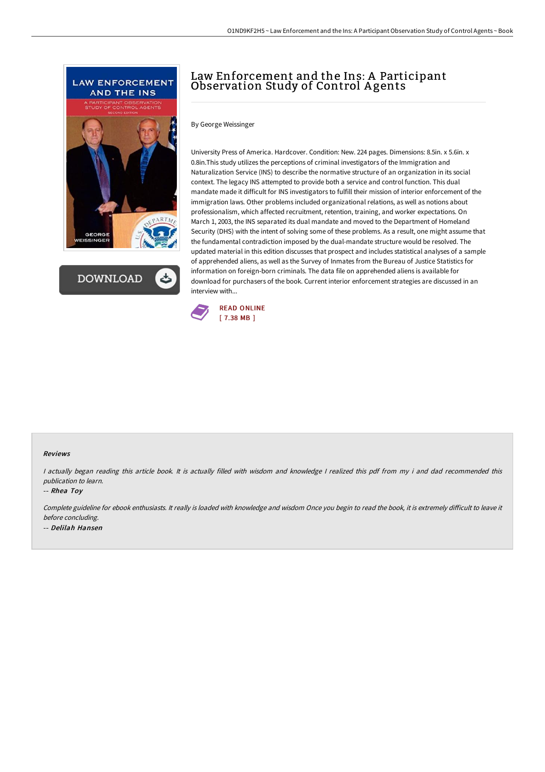



# Law Enforcement and the Ins: A Participant Observation Study of Control A gents

By George Weissinger

University Press of America. Hardcover. Condition: New. 224 pages. Dimensions: 8.5in. x 5.6in. x 0.8in.This study utilizes the perceptions of criminal investigators of the Immigration and Naturalization Service (INS) to describe the normative structure of an organization in its social context. The legacy INS attempted to provide both a service and control function. This dual mandate made it difficult for INS investigators to fulfill their mission of interior enforcement of the immigration laws. Other problems included organizational relations, as well as notions about professionalism, which affected recruitment, retention, training, and worker expectations. On March 1, 2003, the INS separated its dual mandate and moved to the Department of Homeland Security (DHS) with the intent of solving some of these problems. As a result, one might assume that the fundamental contradiction imposed by the dual-mandate structure would be resolved. The updated material in this edition discusses that prospect and includes statistical analyses of a sample of apprehended aliens, as well as the Survey of Inmates from the Bureau of Justice Statistics for information on foreign-born criminals. The data file on apprehended aliens is available for download for purchasers of the book. Current interior enforcement strategies are discussed in an interview with...



#### Reviews

<sup>I</sup> actually began reading this article book. It is actually filled with wisdom and knowledge <sup>I</sup> realized this pdf from my i and dad recommended this publication to learn.

-- Rhea Toy

Complete guideline for ebook enthusiasts. It really is loaded with knowledge and wisdom Once you begin to read the book, it is extremely difficult to leave it before concluding. -- Delilah Hansen